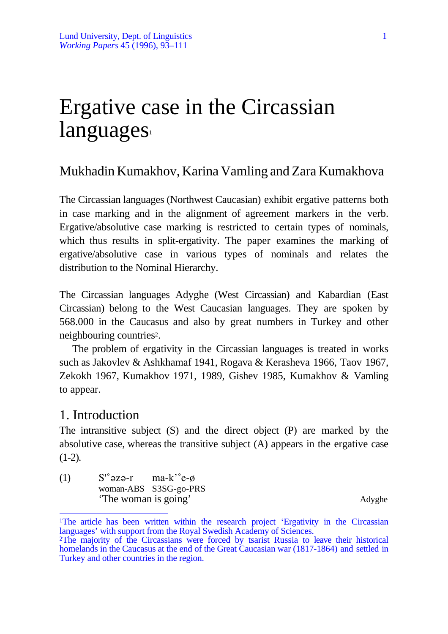# Ergative case in the Circassian languages

# Mukhadin Kumakhov, Karina Vamling and Zara Kumakhova

The Circassian languages (Northwest Caucasian) exhibit ergative patterns both in case marking and in the alignment of agreement markers in the verb. Ergative/absolutive case marking is restricted to certain types of nominals, which thus results in split-ergativity. The paper examines the marking of ergative/absolutive case in various types of nominals and relates the distribution to the Nominal Hierarchy.

The Circassian languages Adyghe (West Circassian) and Kabardian (East Circassian) belong to the West Caucasian languages. They are spoken by 568.000 in the Caucasus and also by great numbers in Turkey and other neighbouring countries2.

The problem of ergativity in the Circassian languages is treated in works such as Jakovlev & Ashkhamaf 1941, Rogava & Kerasheva 1966, Taov 1967, Zekokh 1967, Kumakhov 1971, 1989, Gishev 1985, Kumakhov & Vamling to appear.

# 1. Introduction

The intransitive subject (S) and the direct object (P) are marked by the absolutive case, whereas the transitive subject (A) appears in the ergative case  $(1-2)$ .

(1)  $S'^{\circ}$  a z  $\theta$ -r ma-k'<sup> $\circ$ </sup> e- $\phi$ woman-ABS S3SG-go-PRS 'The woman is going' Adyghe

 $\overline{a}$ <sup>1</sup>The article has been written within the research project 'Ergativity in the Circassian languages' with support from the Royal Swedish Academy of Sciences.

<sup>2</sup>The majority of the Circassians were forced by tsarist Russia to leave their historical homelands in the Caucasus at the end of the Great Caucasian war (1817-1864) and settled in Turkey and other countries in the region.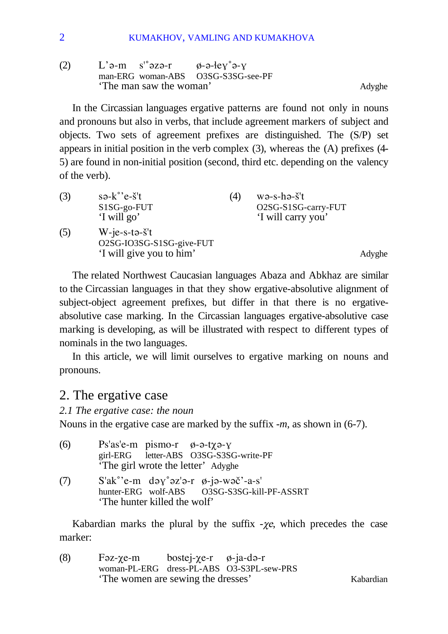(2)  $L' \partial -m$  s<sup>'°</sup> $\partial Z \partial -r$   $\phi -\partial -eV' \partial -V$ man-ERG woman-ABS O3SG-S3SG-see-PF 'The man saw the woman' Adyghe

In the Circassian languages ergative patterns are found not only in nouns and pronouns but also in verbs, that include agreement markers of subject and objects. Two sets of agreement prefixes are distinguished. The (S/P) set appears in initial position in the verb complex (3), whereas the (A) prefixes (4- 5) are found in non-initial position (second, third etc. depending on the valency of the verb).

| (3) | $s \partial k$ °'e- $\check{s}$ 't<br>S1SG-go-FUT<br>'I will go'                     | (4) | $wə-s-hə-š't$<br>O2SG-S1SG-carry-FUT<br>'I will carry you' |        |
|-----|--------------------------------------------------------------------------------------|-----|------------------------------------------------------------|--------|
| (5) | $W$ -je-s-tə- $\check{s}$ 't<br>O2SG-IO3SG-S1SG-give-FUT<br>'I will give you to him' |     |                                                            | Adyghe |

The related Northwest Caucasian languages Abaza and Abkhaz are similar to the Circassian languages in that they show ergative-absolutive alignment of subject-object agreement prefixes, but differ in that there is no ergativeabsolutive case marking. In the Circassian languages ergative-absolutive case marking is developing, as will be illustrated with respect to different types of nominals in the two languages.

In this article, we will limit ourselves to ergative marking on nouns and pronouns.

## 2. The ergative case

*2.1 The ergative case: the noun*

Nouns in the ergative case are marked by the suffix -*m*, as shown in (6-7).

| (6) | $Ps'as'e-m$ pismo-r $\emptyset$ -a-t $\chi$ a-y                    |
|-----|--------------------------------------------------------------------|
|     | girl-ERG letter-ABS O3SG-S3SG-write-PF                             |
|     | 'The girl wrote the letter' Adyghe                                 |
| (7) | $S'ak^{\circ}$ 'e-m dəy $\degree$ əz'ə-r $\emptyset$ -jə-wəč'-a-s' |
|     | hunter-ERG wolf-ABS O3SG-S3SG-kill-PF-ASSRT                        |
|     | 'The hunter killed the wolf'                                       |

Kabardian marks the plural by the suffix  $-\chi e$ , which precedes the case marker:

(8) F $\alpha$ - $\chi$ e-m bostej- $\chi$ e-r  $\phi$ -ja-d $\alpha$ -r woman-PL-ERG dress-PL-ABS O3-S3PL-sew-PRS 'The women are sewing the dresses' Kabardian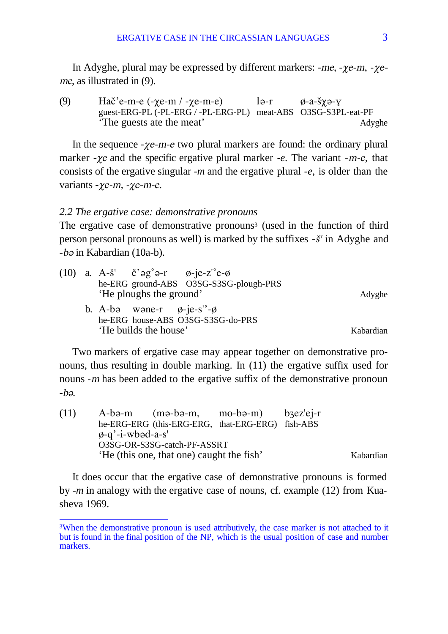In Adyghe, plural may be expressed by different markers:  $-me$ ,  $-ye$ -m,  $-ye$ me, as illustrated in (9).

(9) Hač'e-m-e (- $\chi$ e-m / - $\chi$ e-m-e) lə-r  $\phi$ -a-š $\chi$ ə- $\chi$ guest-ERG-PL (-PL-ERG / -PL-ERG-PL) meat-ABS O3SG-S3PL-eat-PF 'The guests ate the meat' Adyghe

In the sequence *-* $\chi$ e-m-e two plural markers are found: the ordinary plural marker  $-\gamma e$  and the specific ergative plural marker  $-e$ . The variant  $-m-e$ , that consists of the ergative singular -*m* and the ergative plural -*e,* is older than the variants - $\chi$ e-m, - $\chi$ e-m-e.

#### *2.2 The ergative case: demonstrative pronouns*

The ergative case of demonstrative pronouns<sup>3</sup> (used in the function of third person personal pronouns as well) is marked by the suffixes *-*ß' in Adyghe and *-b* $\varphi$  in Kabardian (10a-b).

|  |                                       | (10) a. A- $\check{\mathbf{s}}'$ $\check{\mathbf{c}}'$ as $\mathbf{g}^{\circ}$ a-r $\mathbf{g}$ -je-z' $\mathbf{e}$ - $\mathbf{g}$ |           |
|--|---------------------------------------|------------------------------------------------------------------------------------------------------------------------------------|-----------|
|  |                                       | he-ERG ground-ABS O3SG-S3SG-plough-PRS                                                                                             |           |
|  | 'He ploughs the ground'               |                                                                                                                                    | Adyghe    |
|  | b. A-bə wəne-r $\phi$ -je-s''- $\phi$ |                                                                                                                                    |           |
|  |                                       | he-ERG house-ABS O3SG-S3SG-do-PRS                                                                                                  |           |
|  | 'He builds the house'                 |                                                                                                                                    | Kabardian |

Two markers of ergative case may appear together on demonstrative pronouns, thus resulting in double marking. In (11) the ergative suffix used for nouns -m has been added to the ergative suffix of the demonstrative pronoun  $-ba$ .

| (11) |                        | $A-ba-m$ (ma-ba-m, mo-ba-m) bzez'ej-r<br>he-ERG-ERG (this-ERG-ERG, that-ERG-ERG) fish-ABS |  |           |
|------|------------------------|-------------------------------------------------------------------------------------------|--|-----------|
|      | $\phi$ -q'-i-wbəd-a-s' |                                                                                           |  |           |
|      |                        | O3SG-OR-S3SG-catch-PF-ASSRT                                                               |  |           |
|      |                        | 'He (this one, that one) caught the fish'                                                 |  | Kabardian |

It does occur that the ergative case of demonstrative pronouns is formed by -*m* in analogy with the ergative case of nouns, cf. example (12) from Kuasheva 1969.

 $\overline{a}$ 3When the demonstrative pronoun is used attributively, the case marker is not attached to it but is found in the final position of the NP, which is the usual position of case and number markers.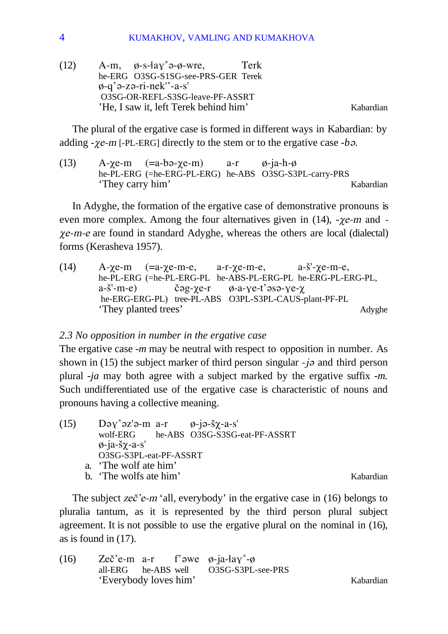(12)  $A-m$ ,  $\phi$ -s- $\frac{1}{2}\phi$ - $\phi$ -wre, Terk he-ERG O3SG-S1SG-see-PRS-GER Terek  $\phi$ -q' $\theta$ -z $\theta$ -ri-nek''-a-s' O3SG-OR-REFL-S3SG-leave-PF-ASSRT 'He, I saw it, left Terek behind him' Kabardian

The plural of the ergative case is formed in different ways in Kabardian: by adding  $- \chi e$ -m [-PL-ERG] directly to the stem or to the ergative case  $- b \rho$ .

(13)  $A-\gamma e-m$  (=a-bə- $\gamma e-m$ ) a-r  $\phi$ -ja-h- $\phi$ he-PL-ERG (=he-ERG-PL-ERG) he-ABS O3SG-S3PL-carry-PRS 'They carry him' Kabardian

In Adyghe, the formation of the ergative case of demonstrative pronouns is even more complex. Among the four alternatives given in  $(14)$ , - $\chi$ e-m and - $\chi$ e-m-e are found in standard Adyghe, whereas the others are local (dialectal) forms (Kerasheva 1957).

(14)  $A-\gamma e-m$  (=a- $\gamma e-m-e$ , a-r- $\gamma e-m-e$ , a- $\gamma e-m-e$ , he-PL-ERG (=he-PL-ERG-PL he-ABS-PL-ERG-PL he-ERG-PL-ERG-PL,  $a-\tilde{s}'-m-e$ ) č $\tilde{\sigma}g-\chi e-r$  ø-a- $\chi e-t'$  as  $\sigma-\chi e-r$  he-ERG-ERG-PL) tree-PL-ABS O3PL-S3PL-CAUS-plant-PF-PL 'They planted trees' Adyghe

#### *2.3 No opposition in number in the ergative case*

The ergative case -*m* may be neutral with respect to opposition in number. As shown in (15) the subject marker of third person singular  $-i\sigma$  and third person plural -*ja* may both agree with a subject marked by the ergative suffix -*m.* Such undifferentiated use of the ergative case is characteristic of nouns and pronouns having a collective meaning.

(15) Də $y^{\circ}$ əz'ə-m a-r  $\phi$ -jə- $\gamma$ -a-s' wolf-ERG he-ABS O3SG-S3SG-eat-PF-ASSRT  $\phi$ -ja-š $\chi$ -a-s' O3SG-S3PL-eat-PF-ASSRT a. 'The wolf ate him' b. The wolfs ate him' Kabardian

The subject  $ze\check{c}$ 'e-m 'all, everybody' in the ergative case in (16) belongs to pluralia tantum, as it is represented by the third person plural subject agreement. It is not possible to use the ergative plural on the nominal in (16), as is found in (17).

(16) Zeč'e-m a-r f' $\partial w$ e  $\phi$ -ja- $\partial y$ °- $\phi$ all-ERG he-ABS well O3SG-S3PL-see-PRS 'Everybody loves him' Kabardian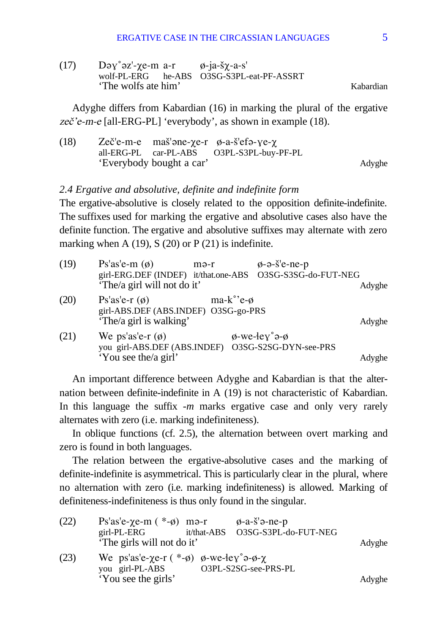(17) Də $y^{\circ}$ əz'- $\chi$ e-m a-r  $\phi$ -ja- $\chi$ -a-s' wolf-PL-ERG he-ABS O3SG-S3PL-eat-PF-ASSRT The wolfs ate him' Kabardian

Adyghe differs from Kabardian (16) in marking the plural of the ergative zeč'e-m-e [all-ERG-PL] 'everybody', as shown in example (18).

(18)  $Zeč'e-me$  maš' $e-\chi e-r$   $\phi$ -a-š' $efo-\chi e-\chi$ <br>all-ERG-PL car-PL-ABS O3PL-S3PL-buyall-ERG-PL car-PL-ABS O3PL-S3PL-buy-PF-PL 'Everybody bought a car' Adyghe

#### *2.4 Ergative and absolutive, definite and indefinite form*

The ergative-absolutive is closely related to the opposition definite-indefinite. The suffixes used for marking the ergative and absolutive cases also have the definite function. The ergative and absolutive suffixes may alternate with zero marking when A (19), S (20) or P (21) is indefinite.

| (19) | Ps'as'e-m $(\emptyset)$<br>'The/a girl will not do it'                                     | mə-r                | $\phi$ -ə- $\check{\sigma}$ 'e-ne-p<br>girl-ERG.DEF (INDEF) it/that.one-ABS O3SG-S3SG-do-FUT-NEG |                  |
|------|--------------------------------------------------------------------------------------------|---------------------|--------------------------------------------------------------------------------------------------|------------------|
| (20) | Ps'as'e-r $(\emptyset)$<br>girl-ABS.DEF (ABS.INDEF) O3SG-go-PRS<br>'The/a girl is walking' | $ma-k^{\circ}$ 'e-ø |                                                                                                  | Adyghe<br>Adyghe |
| (21) | We ps'as'e-r $(\phi)$<br>you girl-ABS.DEF (ABS.INDEF)<br>'You see the/a girl'              |                     | $\phi$ -we-ley° $\phi$ - $\phi$<br>O3SG-S2SG-DYN-see-PRS                                         | Adyghe           |

An important difference between Adyghe and Kabardian is that the alternation between definite-indefinite in A (19) is not characteristic of Kabardian. In this language the suffix -*m* marks ergative case and only very rarely alternates with zero (i.e. marking indefiniteness).

In oblique functions (cf. 2.5), the alternation between overt marking and zero is found in both languages.

The relation between the ergative-absolutive cases and the marking of definite-indefinite is asymmetrical. This is particularly clear in the plural, where no alternation with zero (i.e. marking indefiniteness) is allowed. Marking of definiteness-indefiniteness is thus only found in the singular.

| (22) | Ps'as'e- $\chi$ e-m $(*-\emptyset)$ mə-r<br>$\varphi$ -a- $\check{s}$ 'ə-ne-p              |        |
|------|--------------------------------------------------------------------------------------------|--------|
|      | O3SG-S3PL-do-FUT-NEG<br>$girl-PL-ERG$<br>it/that-ABS                                       |        |
|      | 'The girls will not do it'                                                                 | Adyghe |
| (23) | We ps'as'e- $\chi$ e-r (*- $\phi$ ) $\phi$ -we- $\frac{1}{2}$ ev° $\phi$ - $\phi$ - $\chi$ |        |
|      | O3PL-S2SG-see-PRS-PL<br>you girl-PL-ABS                                                    |        |
|      | 'You see the girls'                                                                        | Adyghe |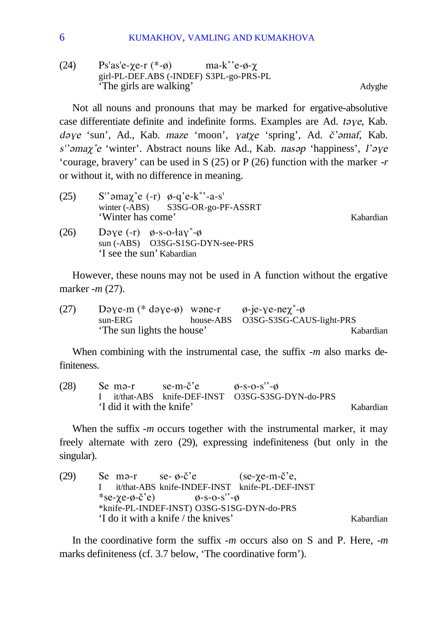(24) Ps'as'e- $\gamma$ e-r (\*- $\phi$ ) ma-k°'e- $\phi$ - $\gamma$ girl-PL-DEF.ABS (-INDEF) S3PL-go-PRS-PL 'The girls are walking' Adyghe

Not all nouns and pronouns that may be marked for ergative-absolutive case differentiate definite and indefinite forms. Examples are Ad. taye, Kab. dəye 'sun', Ad., Kab. maze 'moon', yatye 'spring', Ad.  $\check{c}$ 'əmaf, Kab. s'' *may* ° e 'winter'. Abstract nouns like Ad., Kab. nas *p* 'happiness', l'*aye* 'courage, bravery' can be used in S (25) or P (26) function with the marker -*r* or without it, with no difference in meaning.

(25) S'' $\partial$ ma $\gamma$ °e (-r)  $\phi$ -q'e-k°'-a-s' winter (-ABS) S3SG-OR-go-PF-ASSRT 'Winter has come' and the set of the Kabardian Kabardian

(26) Dəye (-r)  $\phi$ -s-o- $\frac{1}{2}a\gamma^{\circ}$ - $\phi$ sun (-ABS) O3SG-S1SG-DYN-see-PRS 'I see the sun' Kabardian

However, these nouns may not be used in A function without the ergative marker -*m* (27).

| (27) | Dəye-m $(*$ dəye- $\emptyset)$ wəne-r $\emptyset$ -je-ye-ne $\chi^{\circ}$ - $\emptyset$ |                                    |           |
|------|------------------------------------------------------------------------------------------|------------------------------------|-----------|
|      | $sun-ERG$                                                                                | house-ABS 03SG-S3SG-CAUS-light-PRS |           |
|      | The sun lights the house'                                                                |                                    | Kabardian |

When combining with the instrumental case, the suffix -*m* also marks definiteness.

| (28) | Se mə-r                   | $se-m-{\check{c}}$ 'e | $\emptyset$ -S-O-S''-Ø                            |           |
|------|---------------------------|-----------------------|---------------------------------------------------|-----------|
|      |                           |                       | I it/that-ABS knife-DEF-INST O3SG-S3SG-DYN-do-PRS |           |
|      | 'I did it with the knife' |                       |                                                   | Kabardian |

When the suffix -*m* occurs together with the instrumental marker, it may freely alternate with zero (29), expressing indefiniteness (but only in the singular).

(29) Se m $\varphi$ -r se-  $\varphi$ -č'e (se- $\chi$ e-m-č'e, I it/that-ABS knife-INDEF-INST knife-PL-DEF-INST  $*$ se- $\gamma$ e- $\phi$ -č'e)  $\qquad \qquad \phi$ -s-o-s''- $\phi$ \*knife-PL-INDEF-INST) O3SG-S1SG-DYN-do-PRS 'I do it with a knife / the knives' Kabardian

In the coordinative form the suffix -*m* occurs also on S and P. Here, -*m* marks definiteness (cf. 3.7 below, 'The coordinative form').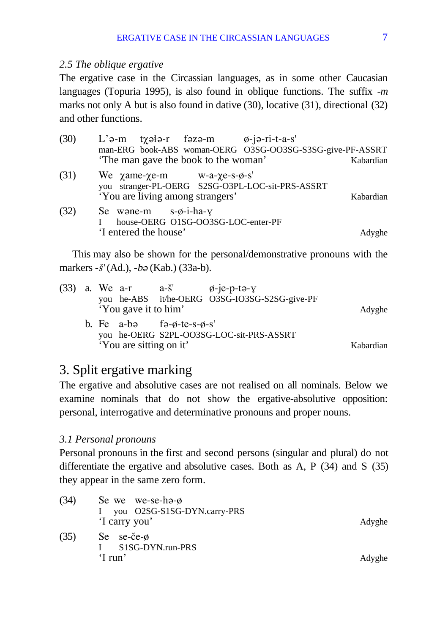#### *2.5 The oblique ergative*

The ergative case in the Circassian languages, as in some other Caucasian languages (Topuria 1995), is also found in oblique functions. The suffix -*m* marks not only A but is also found in dative (30), locative (31), directional (32) and other functions.

| (30) | $L'$ ə-m txələ-r fəzə-m $\emptyset$ -jə-ri-t-a-s'<br>man-ERG book-ABS woman-OERG O3SG-OO3SG-S3SG-give-PF-ASSRT                                |           |
|------|-----------------------------------------------------------------------------------------------------------------------------------------------|-----------|
|      | 'The man gave the book to the woman'                                                                                                          | Kabardian |
| (31) | We $\chi$ ame- $\chi$ e-m w-a- $\chi$ e-s- $\phi$ -s'<br>you stranger-PL-OERG S2SG-O3PL-LOC-sit-PRS-ASSRT<br>'You are living among strangers' | Kabardian |
| (32) | Se wone-m $s-\phi$ -i-ha- $y$<br>house-OERG_O1SG-OO3SG-LOC-enter-PF<br>'I entered the house'                                                  | Adyghe    |

This may also be shown for the personal/demonstrative pronouns with the markers -*š'* (Ad.), -*b* $\varphi$  (Kab.) (33a-b).

|  |                         |                                         | (33) a. We a-r $a-\tilde{s}'$ $\phi$ -je-p-ta-y |           |
|--|-------------------------|-----------------------------------------|-------------------------------------------------|-----------|
|  |                         |                                         | you he-ABS it/he-OERG O3SG-IO3SG-S2SG-give-PF   |           |
|  | 'You gave it to him'    |                                         |                                                 | Adyghe    |
|  |                         | b. Fe a-bə fə- $\phi$ -te-s- $\phi$ -s' |                                                 |           |
|  |                         |                                         | you he-OERG S2PL-OO3SG-LOC-sit-PRS-ASSRT        |           |
|  | 'You are sitting on it' |                                         |                                                 | Kabardian |
|  |                         |                                         |                                                 |           |

# 3. Split ergative marking

The ergative and absolutive cases are not realised on all nominals. Below we examine nominals that do not show the ergative-absolutive opposition: personal, interrogative and determinative pronouns and proper nouns.

## *3.1 Personal pronouns*

Personal pronouns in the first and second persons (singular and plural) do not differentiate the ergative and absolutive cases. Both as A, P (34) and S (35) they appear in the same zero form.

| (34) | Se we we-se-ha- $\phi$<br>I you O2SG-S1SG-DYN.carry-PRS<br>'I carry you' | Adyghe |
|------|--------------------------------------------------------------------------|--------|
| (35) | Se $se-če-\emptyset$<br>S1SG-DYN.run-PRS<br>'I run'                      | Adyghe |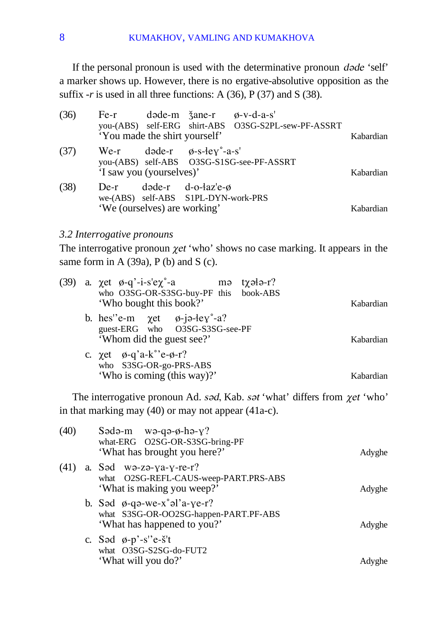If the personal pronoun is used with the determinative pronoun  $d$ *ade* 'self' a marker shows up. However, there is no ergative-absolutive opposition as the suffix  $-r$  is used in all three functions: A (36), P (37) and S (38).

| (36) | $Fe-r$<br>'You made the shirt yourself' | $d$ əde-m $\zeta$ ane-r $\phi$ -v-d-a-s'                                                 | you-(ABS) self-ERG shirt-ABS O3SG-S2PL-sew-PF-ASSRT | Kabardian |
|------|-----------------------------------------|------------------------------------------------------------------------------------------|-----------------------------------------------------|-----------|
| (37) | $We-r$<br>'I saw you (yourselves)'      | $d$ əde-r $\emptyset$ -s-ley°-a-s'                                                       | you-(ABS) self-ABS O3SG-S1SG-see-PF-ASSRT           | Kabardian |
| (38) | $De-r$<br>'We (ourselves) are working'  | $d$ and $e$ -r $d$ -o- $\frac{1}{2}$ az'e- $\phi$<br>we-(ABS) self-ABS S1PL-DYN-work-PRS |                                                     | Kabardian |

#### *3.2 Interrogative pronouns*

The interrogative pronoun  $\chi$ et 'who' shows no case marking. It appears in the same form in A (39a), P (b) and S (c).

|  | (39) a. $\chi$ et $\phi$ -q'-i-s'e $\chi$ °-a mə t $\chi$ ələ-r?<br>who O3SG-OR-S3SG-buy-PF this book-ABS |           |
|--|-----------------------------------------------------------------------------------------------------------|-----------|
|  | 'Who bought this book?'                                                                                   | Kabardian |
|  | b. hes"e-m $\chi$ et $\varphi$ -jə-ley"-a?<br>guest-ERG who O3SG-S3SG-see-PF<br>'Whom did the guest see?' | Kabardian |
|  | c. $\chi$ et $\phi$ -q'a-k°'e- $\phi$ -r?<br>who S3SG-OR-go-PRS-ABS<br>'Who is coming (this way)?'        | Kabardian |

The interrogative pronoun Ad. sad, Kab. sat 'what' differs from  $\chi$ et 'who' in that marking may (40) or may not appear (41a-c).

| (40) | Sədə-m wə-qə- $\phi$ -hə- $\gamma$ ?<br>what-ERG O2SG-OR-S3SG-bring-PF<br>'What has brought you here?'    | Adyghe |
|------|-----------------------------------------------------------------------------------------------------------|--------|
|      | $(41)$ a. Sad wa-za-ya-y-re-r?<br>what O2SG-REFL-CAUS-weep-PART.PRS-ABS<br>'What is making you weep?'     | Adyghe |
|      | b. Sad $\phi$ -qa-we-x°al'a-ye-r?<br>what S3SG-OR-OO2SG-happen-PART.PF-ABS<br>'What has happened to you?' | Adyghe |
|      | c. Səd $\varphi$ -p'-s''e-s't<br>what O3SG-S2SG-do-FUT2<br>'What will you do?'                            | Advghe |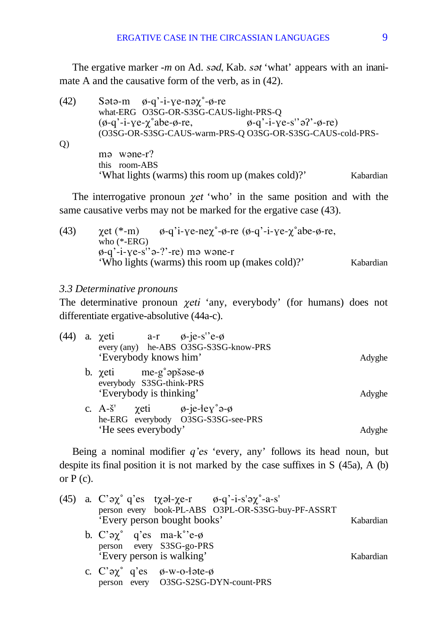The ergative marker *-m* on Ad. s*ad*, Kab. sat 'what' appears with an inanimate A and the causative form of the verb, as in (42).

(42) S $\sigma$ + $\sigma$ -m  $\phi$ - $q$ '-i- $\gamma$ e-n $\sigma$  $\gamma$ °- $\phi$ -re what-ERG O3SG-OR-S3SG-CAUS-light-PRS-Q  $(\phi - q' - i - \gamma e - \chi^{\circ} a b e - \phi - r e,$   $\phi - q' - i - \gamma e - s' \partial' - \phi - r e)$ (O3SG-OR-S3SG-CAUS-warm-PRS-Q O3SG-OR-S3SG-CAUS-cold-PRS-Q)  $m\vartheta$  w $\varphi$ ne-r? this room-ABS 'What lights (warms) this room up (makes cold)?' Kabardian

The interrogative pronoun  $\chi$ et 'who' in the same position and with the same causative verbs may not be marked for the ergative case (43).

(43)  $\chi$ et (\*-m)  $\phi$ -q'i-ye-ne $\chi^{\circ}$ - $\phi$ -re ( $\phi$ -q'-i-ye- $\chi^{\circ}$ abe- $\phi$ -re, who (\*-ERG)  $\phi$ -q'-i-γe-s''ǝ-?'-re) mǝ wǝne-r 'Who lights (warms) this room up (makes cold)?' Kabardian

#### *3.3 Determinative pronouns*

The determinative pronoun  $\chi e^{i\phi}$  any, everybody' (for humans) does not differentiate ergative-absolutive (44a-c).

| (44) | a. $\chi$ eti a-r $\phi$ -je-s''e- $\phi$<br>every (any) he-ABS O3SG-S3SG-know-PRS<br>'Everybody knows him'                      | Adyghe |
|------|----------------------------------------------------------------------------------------------------------------------------------|--------|
|      | b. $\chi$ eti me-g°apšase- $\phi$<br>everybody S3SG-think-PRS<br>'Everybody is thinking'                                         | Adyghe |
|      | c. A- $\check{s}'$ yeti $\emptyset$ -je-ley° $\Theta$ - $\emptyset$<br>he-ERG everybody O3SG-S3SG-see-PRS<br>'He sees everybody' | Adyghe |

Being a nominal modifier  $q$ 'es 'every, any' follows its head noun, but despite its final position it is not marked by the case suffixes in S (45a), A (b) or  $P(c)$ .

|  |                                                                                                                                  | (45) a. C' $\partial \chi^{\circ}$ q'es t $\chi \partial l$ - $\chi$ e-r $\phi$ -q'-i-s' $\partial \chi^{\circ}$ -a-s'<br>person every book-PL-ABS O3PL-OR-S3SG-buy-PF-ASSRT |           |
|--|----------------------------------------------------------------------------------------------------------------------------------|------------------------------------------------------------------------------------------------------------------------------------------------------------------------------|-----------|
|  |                                                                                                                                  | 'Every person bought books'                                                                                                                                                  | Kabardian |
|  | b. $C' \rightarrow \gamma^{\circ}$ q'es ma-k $\gamma^{\circ}$ e- $\phi$<br>person every S3SG-go-PRS<br>'Every person is walking' |                                                                                                                                                                              | Kabardian |
|  | c. C' $\partial \chi^{\circ}$ q'es $\phi$ -w-o-late- $\phi$                                                                      | person every O3SG-S2SG-DYN-count-PRS                                                                                                                                         |           |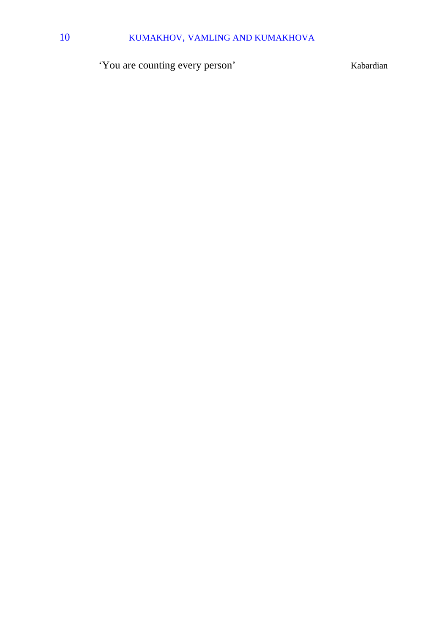# 10 KUMAKHOV, VAMLING AND KUMAKHOVA

'You are counting every person' Kabardian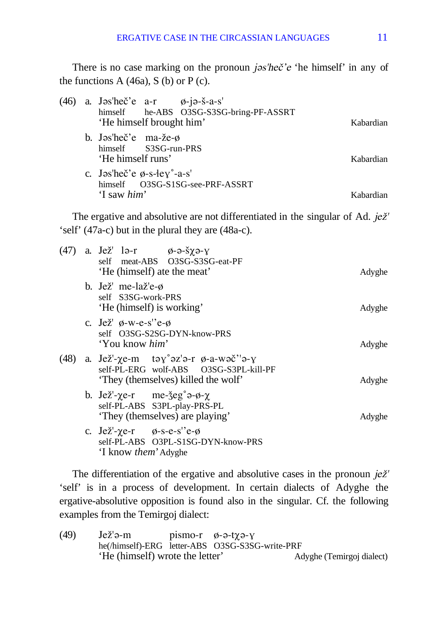There is no case marking on the pronoun  $i\infty$ 'hec<sup>'</sup> e 'he himself' in any of the functions  $A(46a)$ ,  $S(b)$  or  $P(c)$ .

| (46 | a. Jos'heč'e $a-r$ $\phi$ -j $\phi$ -š- $a-s$ '<br>'He himself brought him' | himself he-ABS O3SG-S3SG-bring-PF-ASSRT | Kabardian |
|-----|-----------------------------------------------------------------------------|-----------------------------------------|-----------|
|     | b. Jas'heč'e ma-že- $\phi$<br>himself S3SG-run-PRS<br>'He himself runs'     |                                         | Kabardian |
|     | c. Jas'heč'e $\phi$ -s-ley°-a-s'<br>'I saw him'                             | himself O3SG-S1SG-see-PRF-ASSRT         | Kabardian |

The ergative and absolutive are not differentiated in the singular of Ad.  $je\check{z}'$ 'self' (47a-c) but in the plural they are (48a-c).

|  | (47) a. Jež' lə-r $\phi$ -ə- $\gamma$ -y<br>self meat-ABS O3SG-S3SG-eat-PF<br>'He (himself) ate the meat'                                              | Adyghe |
|--|--------------------------------------------------------------------------------------------------------------------------------------------------------|--------|
|  | b. Jež' me-laž'e- $\phi$<br>self S3SG-work-PRS<br>'He (himself) is working'                                                                            | Adyghe |
|  | c. Jež' $\phi$ -w-e-s''e- $\phi$<br>self O3SG-S2SG-DYN-know-PRS<br>'You know <i>him</i> '                                                              | Adyghe |
|  | (48) a. Jež'- $\chi$ e-m təy $\chi^{\circ}$ əz'ə-r $\phi$ -a-wəč''ə-y<br>self-PL-ERG wolf-ABS O3SG-S3PL-kill-PF<br>'They (themselves) killed the wolf' | Adyghe |
|  | b. Jež'- $\chi$ e-r me- $\zeta$ eg° $\vartheta$ - $\varphi$ - $\chi$<br>self-PL-ABS S3PL-play-PRS-PL<br>'They (themselves) are playing'                | Adyghe |
|  | c. Jež'- $\chi$ e-r $\phi$ -s-e-s''e- $\phi$<br>self-PL-ABS O3PL-S1SG-DYN-know-PRS<br>'I know <i>them</i> ' Adyghe                                     |        |

The differentiation of the ergative and absolutive cases in the pronoun  $j e \check{z}$ ' 'self' is in a process of development. In certain dialects of Adyghe the ergative-absolutive opposition is found also in the singular. Cf. the following examples from the Temirgoj dialect:

| (49) | Jež'ə-m                         | $pi$ smo-r $\emptyset$ -ə-t $\chi$ ə- $\gamma$  |                           |
|------|---------------------------------|-------------------------------------------------|---------------------------|
|      |                                 | he(/himself)-ERG letter-ABS O3SG-S3SG-write-PRF |                           |
|      | 'He (himself) wrote the letter' |                                                 | Adyghe (Temirgoj dialect) |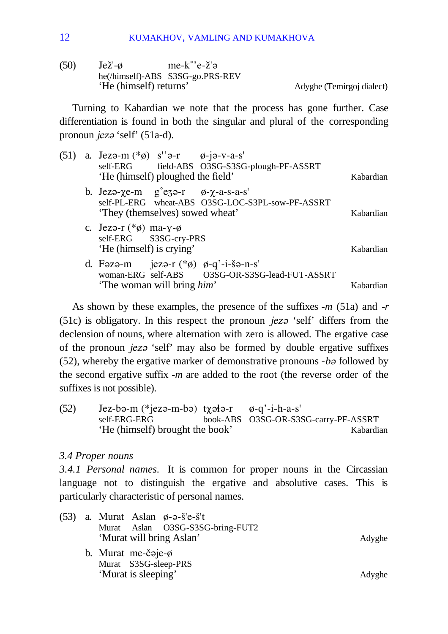(50)  $Je\check{z}'-\emptyset$  me- $k^{\circ}e-\check{z}'\ni$ he(/himself)-ABS S3SG-go.PRS-REV

Adyghe (Temirgoj dialect)

Turning to Kabardian we note that the process has gone further. Case differentiation is found in both the singular and plural of the corresponding pronoun *jez*<sup>o</sup> 'self' (51a-d).

|  | (51) a. Jezo-m $(*\phi)$ s''o-r $\phi$ -jo-v-a-s'<br>self-ERG field-ABS O3SG-S3SG-plough-PF-ASSRT<br>'He (himself) ploughed the field'                       | Kabardian |  |
|--|--------------------------------------------------------------------------------------------------------------------------------------------------------------|-----------|--|
|  | b. Jezo- $\chi$ e-m g <sup>o</sup> ezo-r $\varphi$ - $\chi$ -a-s-a-s'<br>self-PL-ERG wheat-ABS O3SG-LOC-S3PL-sow-PF-ASSRT<br>'They (themselves) sowed wheat' | Kabardian |  |
|  | c. Jezo-r $(*\phi)$ ma-y- $\phi$<br>self-ERG S3SG-cry-PRS<br>'He (himself) is crying'                                                                        | Kabardian |  |
|  | d. Fəzə-m jezə-r $(*\emptyset)$ $\emptyset$ -q'-i-šə-n-s'<br>'The woman will bring him'                                                                      | Kabardian |  |

As shown by these examples, the presence of the suffixes -*m* (51a) and -*r*  $(51c)$  is obligatory. In this respect the pronoun *jez* $\theta$  'self' differs from the declension of nouns, where alternation with zero is allowed. The ergative case of the pronoun *jez* is self' may also be formed by double ergative suffixes (52), whereby the ergative marker of demonstrative pronouns *-ba* followed by the second ergative suffix -*m* are added to the root (the reverse order of the suffixes is not possible).

(52) Jez-bə-m (\*jezə-m-bə) t $\chi$ ə $\downarrow$ ə-r  $\phi$ -q'-i-h-a-s' self-ERG-ERG book-ABS O3SG-OR-S3SG-carry-PF-ASSRT 'He (himself) brought the book' Kabardian

#### *3.4 Proper nouns*

*3.4.1 Personal names.* It is common for proper nouns in the Circassian language not to distinguish the ergative and absolutive cases. This is particularly characteristic of personal names.

|  | $(53)$ a. Murat Aslan $\phi$ - $\phi$ - $\delta$ 'e- $\delta$ 't<br>Murat Aslan O3SG-S3SG-bring-FUT2<br>'Murat will bring Aslan' | Adyghe |
|--|----------------------------------------------------------------------------------------------------------------------------------|--------|
|  | b. Murat me-č $\alpha$ je- $\phi$                                                                                                |        |
|  | Murat S3SG-sleep-PRS                                                                                                             |        |
|  | 'Murat is sleeping'                                                                                                              | Adyghe |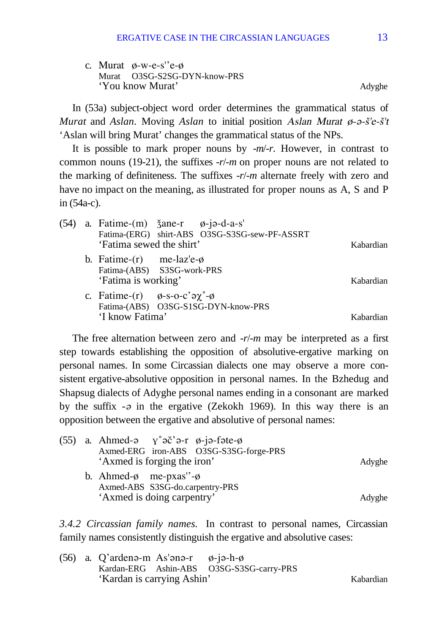c. Murat ø-w-e-s''e-ø Murat O3SG-S2SG-DYN-know-PRS 'You know Murat' Adyghe

In (53a) subject-object word order determines the grammatical status of *Murat* and *Aslan*. Moving *Aslan* to initial position *Aslan Murat* ø- $\vartheta$ - $\vartheta$ - $\zeta'$ 'e- $\zeta'$ 't 'Aslan will bring Murat' changes the grammatical status of the NPs.

It is possible to mark proper nouns by -*m*/-*r*. However, in contrast to common nouns (19-21), the suffixes -*r*/-*m* on proper nouns are not related to the marking of definiteness. The suffixes -*r*/-*m* alternate freely with zero and have no impact on the meaning, as illustrated for proper nouns as A, S and P in (54a-c).

| (54) | 'Fatima sewed the shirt'                                 | a. Fatime- $(m)$ $\check{3}$ ane-r $\emptyset$ -j $\theta$ -d-a-s'<br>Fatima-(ERG) shirt-ABS O3SG-S3SG-sew-PF-ASSRT | Kabardian |
|------|----------------------------------------------------------|---------------------------------------------------------------------------------------------------------------------|-----------|
|      | b. Fatime- $(r)$ me-laz'e- $\phi$<br>'Fatima is working' | Fatima-(ABS) S3SG-work-PRS                                                                                          | Kabardian |
|      | 'I know Fatima'                                          | c. Fatime-(r) $\phi$ -s-o-c' $\partial \chi^{\circ}$ - $\phi$<br>Fatima-(ABS) O3SG-S1SG-DYN-know-PRS                | Kabardian |

The free alternation between zero and -*r*/-*m* may be interpreted as a first step towards establishing the opposition of absolutive-ergative marking on personal names. In some Circassian dialects one may observe a more consistent ergative-absolutive opposition in personal names. In the Bzhedug and Shapsug dialects of Adyghe personal names ending in a consonant are marked by the suffix  $-\rho$  in the ergative (Zekokh 1969). In this way there is an opposition between the ergative and absolutive of personal names:

| Axmed-ERG iron-ABS O3SG-S3SG-forge-PRS |                                                                                                                                                                                        |
|----------------------------------------|----------------------------------------------------------------------------------------------------------------------------------------------------------------------------------------|
| 'Axmed is forging the iron'            | Adyghe                                                                                                                                                                                 |
|                                        |                                                                                                                                                                                        |
| Axmed-ABS S3SG-do.carpentry-PRS        |                                                                                                                                                                                        |
|                                        | Adyghe                                                                                                                                                                                 |
|                                        | (55) a. Ahmed- $\theta$ $\gamma^{\circ} \partial \check{c}$ $\theta$ - $\eta \partial$ - $\phi$ -f $\phi$ - $\phi$<br>b. Ahmed- $\phi$ me-pxas''- $\phi$<br>'Axmed is doing carpentry' |

*3.4.2 Circassian family names.* In contrast to personal names, Circassian family names consistently distinguish the ergative and absolutive cases:

(56) a. Q'arden $\theta$ -m As' $\theta$ n $\theta$ -r  $\phi$ -j $\theta$ -h- $\phi$ Kardan-ERG Ashin-ABS O3SG-S3SG-carry-PRS 'Kardan is carrying Ashin' Kabardian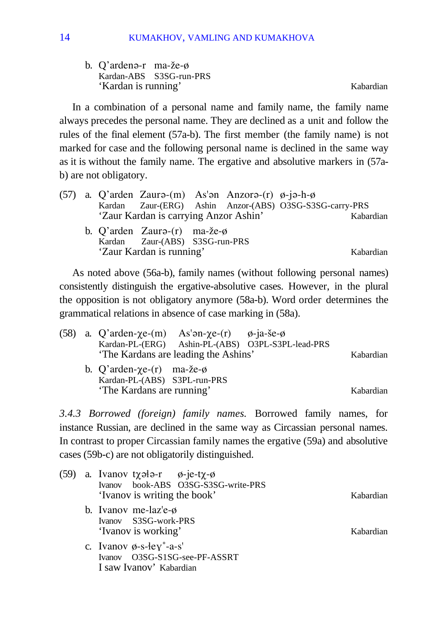b. Q'ardena-r ma-že-ø Kardan-ABS S3SG-run-PRS 'Kardan is running' Kabardian

In a combination of a personal name and family name, the family name always precedes the personal name. They are declined as a unit and follow the rules of the final element (57a-b). The first member (the family name) is not marked for case and the following personal name is declined in the same way as it is without the family name. The ergative and absolutive markers in (57ab) are not obligatory.

|  |                                       | (57) a. Q'arden Zaurə-(m) As'ən Anzorə-(r) $\varphi$ -jə-h- $\varphi$ |                                                         |           |
|--|---------------------------------------|-----------------------------------------------------------------------|---------------------------------------------------------|-----------|
|  |                                       |                                                                       | Kardan Zaur-(ERG) Ashin Anzor-(ABS) O3SG-S3SG-carry-PRS |           |
|  | 'Zaur Kardan is carrying Anzor Ashin' |                                                                       |                                                         | Kabardian |
|  | b. Q'arden Zaurə- $(r)$ ma-že- $\phi$ |                                                                       |                                                         |           |
|  | Kardan Zaur-(ABS) S3SG-run-PRS        |                                                                       |                                                         |           |
|  | 'Zaur Kardan is running'              |                                                                       |                                                         | Kabardian |

As noted above (56a-b), family names (without following personal names) consistently distinguish the ergative-absolutive cases. However, in the plural the opposition is not obligatory anymore (58a-b). Word order determines the grammatical relations in absence of case marking in (58a).

|  | (58) a. Q'arden- $\chi$ e-(m) As'an- $\chi$ e-(r) $\phi$ -ja-še- $\phi$ |                                      |                                                   |           |
|--|-------------------------------------------------------------------------|--------------------------------------|---------------------------------------------------|-----------|
|  |                                                                         |                                      | Kardan-PL-(ERG) Ashin-PL-(ABS) O3PL-S3PL-lead-PRS |           |
|  |                                                                         | 'The Kardans are leading the Ashins' |                                                   | Kabardian |
|  | b. Q'arden- $\chi$ e- $(r)$ ma- $\chi$ e- $\phi$                        |                                      |                                                   |           |
|  | Kardan-PL-(ABS) S3PL-run-PRS                                            |                                      |                                                   |           |
|  | 'The Kardans are running'                                               |                                      |                                                   | Kabardian |

*3.4.3 Borrowed (foreign) family names.* Borrowed family names, for instance Russian, are declined in the same way as Circassian personal names. In contrast to proper Circassian family names the ergative (59a) and absolutive cases (59b-c) are not obligatorily distinguished.

| (59) | a. Ivanov t $\chi$ ələ-r $\phi$ -je-t $\chi$ - $\phi$<br>Ivanov book-ABS O3SG-S3SG-write-PRS<br>'Ivanov is writing the book' | Kabardian |
|------|------------------------------------------------------------------------------------------------------------------------------|-----------|
|      | b. Ivanov me-laz'e- $\phi$<br>Ivanov S3SG-work-PRS<br>'Ivanov is working'                                                    | Kabardian |
|      | c. Ivanov $\phi$ -s- $\text{key}^{\circ}$ -a-s'<br>Ivanov O3SG-S1SG-see-PF-ASSRT<br>I saw Ivanov' Kabardian                  |           |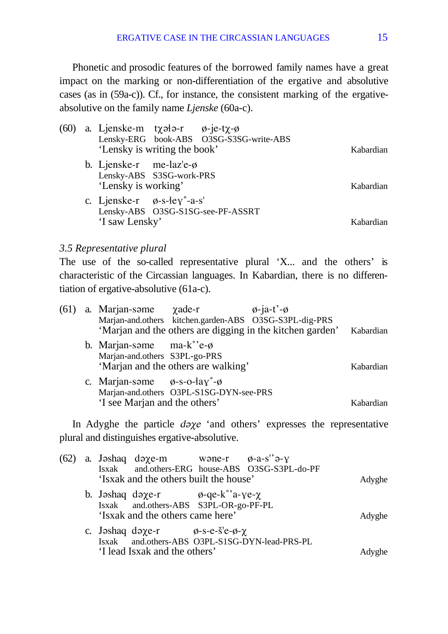Phonetic and prosodic features of the borrowed family names have a great impact on the marking or non-differentiation of the ergative and absolutive cases (as in (59a-c)). Cf., for instance, the consistent marking of the ergativeabsolutive on the family name *Ljenske* (60a-c).

|  | (60) a. Ljenske-m t $\chi$ ələ-r $\phi$ -je-t $\chi$ - $\phi$<br>'Lensky is writing the book' | Lensky-ERG book-ABS O3SG-S3SG-write-ABS | Kabardian |
|--|-----------------------------------------------------------------------------------------------|-----------------------------------------|-----------|
|  | b. Ljenske-r me- $\int a z' e^{-\phi}$<br>Lensky-ABS S3SG-work-PRS<br>'Lensky is working'     |                                         | Kabardian |
|  | c. Ljenske-r $\phi$ -s-ley°-a-s'<br>'I saw Lensky'                                            | Lensky-ABS O3SG-S1SG-see-PF-ASSRT       | Kabardian |

### *3.5 Representative plural*

The use of the so-called representative plural 'X... and the others' is characteristic of the Circassian languages. In Kabardian, there is no differentiation of ergative-absolutive (61a-c).

| (61) |                                                      | a. Marjan-some $\chi$ ade-r $\phi$ -ja-t'- $\phi$ | Marjan-and.others kitchen.garden-ABS O3SG-S3PL-dig-PRS                        |           |
|------|------------------------------------------------------|---------------------------------------------------|-------------------------------------------------------------------------------|-----------|
|      |                                                      |                                                   | 'Marjan and the others are digging in the kitchen garden'                     | Kabardian |
|      | b. Marjan-some ma- $k^{\circ}$ 'e- $\phi$            |                                                   |                                                                               |           |
|      | Marjan-and.others S3PL-go-PRS                        |                                                   |                                                                               |           |
|      |                                                      | 'Marjan and the others are walking'               |                                                                               | Kabardian |
|      | c. Marjan-some $\phi$ -s-o-łay <sup>°</sup> - $\phi$ |                                                   |                                                                               |           |
|      |                                                      | Marjan-and.others O3PL-S1SG-DYN-see-PRS           |                                                                               |           |
|      | 'I see Marjan and the others'                        |                                                   |                                                                               | Kabardian |
|      |                                                      |                                                   | In Adyghe the particle <i>d</i> oxe 'and others' expresses the representative |           |
|      | plural and distinguishes ergative-absolutive.        |                                                   |                                                                               |           |
|      | $(62)$ a. Jashaq daye-m                              | wone-r $\phi$ -a-s'' $\theta$ -y                  |                                                                               |           |

|  |  |                                                                   | Adyghe                                                                                                                                                                                                                                                                                                  |
|--|--|-------------------------------------------------------------------|---------------------------------------------------------------------------------------------------------------------------------------------------------------------------------------------------------------------------------------------------------------------------------------------------------|
|  |  |                                                                   | Adyghe                                                                                                                                                                                                                                                                                                  |
|  |  |                                                                   | Adyghe                                                                                                                                                                                                                                                                                                  |
|  |  | 'Isxak and the others came here'<br>'I lead Isxak and the others' | Isxak and.others-ERG house-ABS O3SG-S3PL-do-PF<br>'Isxak and the others built the house'<br>b. Jashaq daye-r $\phi$ -qe-k°'a-ye- $\chi$<br>Isxak and.others-ABS S3PL-OR-go-PF-PL<br>c. Jəshaq də $\chi$ e-r $\phi$ -s-e- $\delta$ 'e- $\phi$ - $\chi$<br>Isxak and.others-ABS O3PL-S1SG-DYN-lead-PRS-PL |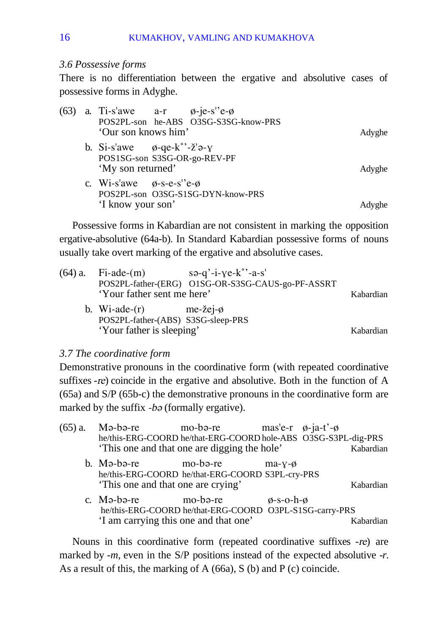#### *3.6 Possessive forms*

There is no differentiation between the ergative and absolutive cases of possessive forms in Adyghe.

|  | (63) a. Ti-s'awe a-r $\phi$ -je-s''e- $\phi$                                                                    | POS2PL-son he-ABS O3SG-S3SG-know-PRS |        |
|--|-----------------------------------------------------------------------------------------------------------------|--------------------------------------|--------|
|  | 'Our son knows him'                                                                                             |                                      | Adyghe |
|  | b. Si-s'awe $\phi$ -qe-k°'- $\check{z}$ ' $\rightarrow$ -y<br>POS1SG-son S3SG-OR-go-REV-PF<br>'My son returned' |                                      | Adyghe |
|  | c. Wi-s'awe $\phi$ -s-e-s''e- $\phi$<br>'I know your son'                                                       | POS2PL-son O3SG-S1SG-DYN-know-PRS    |        |

Possessive forms in Kabardian are not consistent in marking the opposition ergative-absolutive (64a-b). In Standard Kabardian possessive forms of nouns usually take overt marking of the ergative and absolutive cases.

|  | $(64)$ a. Fi-ade- $(m)$              | $s \rightarrow q' - i - \gamma e - k'' - a - s'$  |           |
|--|--------------------------------------|---------------------------------------------------|-----------|
|  |                                      | POS2PL-father-(ERG) O1SG-OR-S3SG-CAUS-go-PF-ASSRT |           |
|  | 'Your father sent me here'           |                                                   | Kabardian |
|  | b. Wi-ade- $(r)$ me-žej- $\emptyset$ |                                                   |           |
|  | POS2PL-father-(ABS) S3SG-sleep-PRS   |                                                   |           |
|  | 'Your father is sleeping'            |                                                   | Kabardian |

#### *3.7 The coordinative form*

Demonstrative pronouns in the coordinative form (with repeated coordinative suffixes -re) coincide in the ergative and absolutive. Both in the function of A (65a) and S/P (65b-c) the demonstrative pronouns in the coordinative form are marked by the suffix  $-b\vartheta$  (formally ergative).

| $(65)$ a. | Mə-bə-re<br>he/this-ERG-COORD he/that-ERG-COORD hole-ABS O3SG-S3PL-dig-PRS                            | mo-bə-re<br>'This one and that one are digging the hole'            |                       | mas'e-r $\varphi$ -ja-t'- $\varphi$ | Kabardian |
|-----------|-------------------------------------------------------------------------------------------------------|---------------------------------------------------------------------|-----------------------|-------------------------------------|-----------|
|           | b. Mə-bə-re<br>he/this-ERG-COORD he/that-ERG-COORD S3PL-cry-PRS<br>'This one and that one are crying' | mo-bə-re                                                            | $ma-x-\phi$           |                                     | Kabardian |
|           | c. Mə-bə-re<br>'I am carrying this one and that one'                                                  | mo-bə-re<br>he/this-ERG-COORD he/that-ERG-COORD O3PL-S1SG-carry-PRS | $\phi$ -s-o-h- $\phi$ |                                     | Kabardian |

Nouns in this coordinative form (repeated coordinative suffixes -re) are marked by *-m*, even in the S/P positions instead of the expected absolutive *-r*. As a result of this, the marking of A (66a), S (b) and P (c) coincide.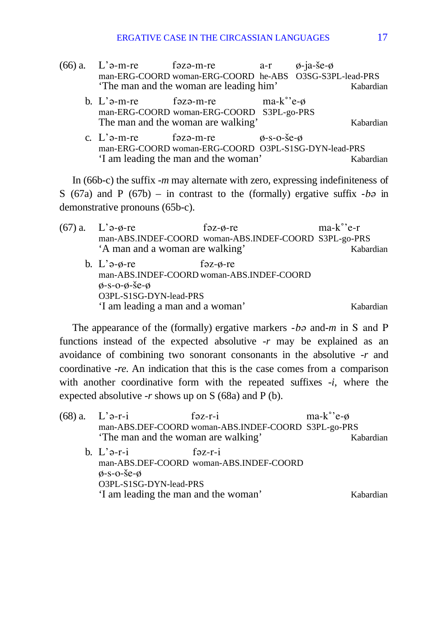- $(66)$  a. L' $\theta$ -m-re f $\theta$ z $\theta$ -m-re a-r  $\theta$ -ja-še- $\theta$ man-ERG-COORD woman-ERG-COORD he-ABS O3SG-S3PL-lead-PRS 'The man and the woman are leading him' Kabardian
	- b. L' $\theta$ -m-re fəzə-m-re ma-k°'e- $\phi$ man-ERG-COORD woman-ERG-COORD S3PL-go-PRS The man and the woman are walking' Kabardian
	- c.  $\vec{l}$   $\hat{j}$   $\hat{p}$ -m-re f $\hat{p}$ z $\hat{p}$ -m-re  $\hat{p}$ -s-o- $\hat{p}$ - $\hat{p}$ - $\hat{p}$ man-ERG-COORD woman-ERG-COORD O3PL-S1SG-DYN-lead-PRS 'I am leading the man and the woman' Kabardian

In (66b-c) the suffix -*m* may alternate with zero, expressing indefiniteness of S (67a) and P (67b) – in contrast to the (formally) ergative suffix  $-b\phi$  in demonstrative pronouns (65b-c).

 $(67)$  a. L' $\theta$ - $\phi$ -re f $\theta$ z- $\phi$ -re ma-k°'e-r man-ABS.INDEF-COORD woman-ABS.INDEF-COORD S3PL-go-PRS A man and a woman are walking' Kabardian b. L' $\theta$ - $\theta$ -re f $\theta$ z- $\theta$ -re man-ABS.INDEF-COORD woman-ABS.INDEF-COORD  $\alpha$ -s-o- $\alpha$ -še-ø O3PL-S1SG-DYN-lead-PRS 'I am leading a man and a woman' Kabardian

The appearance of the (formally) ergative markers *-b<sub>2</sub>* and-*m* in S and P functions instead of the expected absolutive -*r* may be explained as an avoidance of combining two sonorant consonants in the absolutive -*r* and coordinative -*re*. An indication that this is the case comes from a comparison with another coordinative form with the repeated suffixes -*i*, where the expected absolutive  $-r$  shows up on S (68a) and P (b).

| (68) a. | $L$ 'ə-r-i                                                                          | $f \rightarrow z-r-i$                                                   | $ma-k^{\circ}$ 'e-ø |           |
|---------|-------------------------------------------------------------------------------------|-------------------------------------------------------------------------|---------------------|-----------|
|         |                                                                                     | man-ABS.DEF-COORD woman-ABS.INDEF-COORD S3PL-go-PRS                     |                     |           |
|         | 'The man and the woman are walking'                                                 |                                                                         |                     | Kabardian |
|         | b. $L$ ' $\partial$ - $r$ - $i$<br>$\phi$ -s-o-še- $\phi$<br>O3PL-S1SG-DYN-lead-PRS | $f$ $\partial z$ - $r$ - $i$<br>man-ABS.DEF-COORD woman-ABS.INDEF-COORD |                     |           |
|         | 'I am leading the man and the woman'                                                |                                                                         |                     | Kabardian |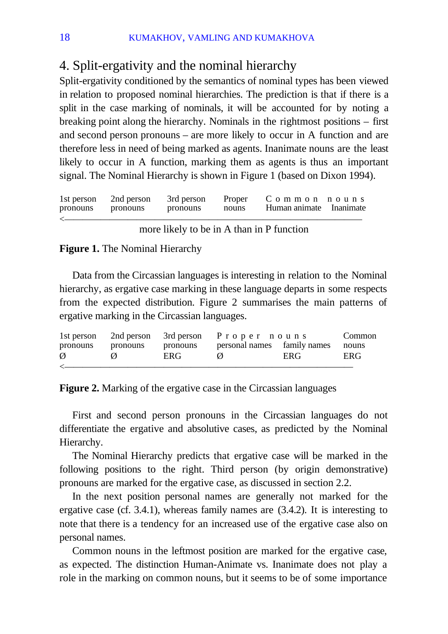# 4. Split-ergativity and the nominal hierarchy

Split-ergativity conditioned by the semantics of nominal types has been viewed in relation to proposed nominal hierarchies. The prediction is that if there is a split in the case marking of nominals, it will be accounted for by noting a breaking point along the hierarchy. Nominals in the rightmost positions – first and second person pronouns – are more likely to occur in A function and are therefore less in need of being marked as agents. Inanimate nouns are the least likely to occur in A function, marking them as agents is thus an important signal. The Nominal Hierarchy is shown in Figure 1 (based on Dixon 1994).

| pronouns pronouns | 1st person 2nd person | pronouns | nouns | 3rd person Proper C o m m o n n o u n s<br>Human animate Inanimate |  |
|-------------------|-----------------------|----------|-------|--------------------------------------------------------------------|--|
|                   |                       |          |       |                                                                    |  |

#### more likely to be in A than in P function

#### **Figure 1.** The Nominal Hierarchy

Data from the Circassian languages is interesting in relation to the Nominal hierarchy, as ergative case marking in these language departs in some respects from the expected distribution. Figure 2 summarises the main patterns of ergative marking in the Circassian languages.

|          |          |          | 1st person 2nd person 3rd person P r o p e r n o u n s |     | Common |
|----------|----------|----------|--------------------------------------------------------|-----|--------|
| pronouns | pronouns | pronouns | personal names family names                            |     | nouns  |
| Ø        |          | ERG.     | Ø                                                      | ERG | ERG    |
|          |          |          |                                                        |     |        |

**Figure 2.** Marking of the ergative case in the Circassian languages

First and second person pronouns in the Circassian languages do not differentiate the ergative and absolutive cases, as predicted by the Nominal Hierarchy.

The Nominal Hierarchy predicts that ergative case will be marked in the following positions to the right. Third person (by origin demonstrative) pronouns are marked for the ergative case, as discussed in section 2.2.

In the next position personal names are generally not marked for the ergative case (cf. 3.4.1), whereas family names are (3.4.2). It is interesting to note that there is a tendency for an increased use of the ergative case also on personal names.

Common nouns in the leftmost position are marked for the ergative case, as expected. The distinction Human-Animate vs. Inanimate does not play a role in the marking on common nouns, but it seems to be of some importance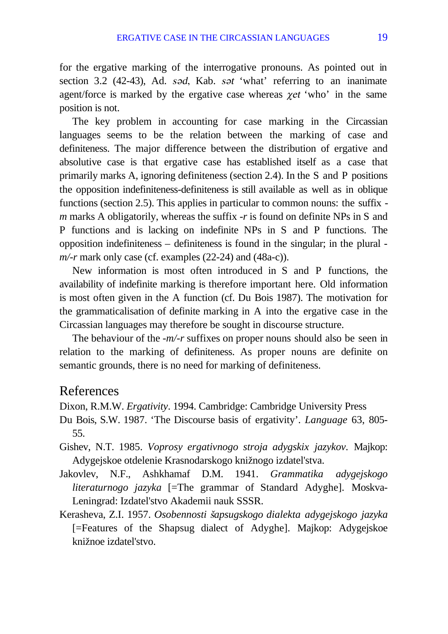for the ergative marking of the interrogative pronouns. As pointed out in section 3.2 (42-43), Ad. s $\partial d$ , Kab. s $\partial t$  'what' referring to an inanimate agent/force is marked by the ergative case whereas  $\gamma e t$  'who' in the same position is not.

The key problem in accounting for case marking in the Circassian languages seems to be the relation between the marking of case and definiteness. The major difference between the distribution of ergative and absolutive case is that ergative case has established itself as a case that primarily marks A, ignoring definiteness (section 2.4). In the S and P positions the opposition indefiniteness-definiteness is still available as well as in oblique functions (section 2.5). This applies in particular to common nouns: the suffix *m* marks A obligatorily, whereas the suffix -*r* is found on definite NPs in S and P functions and is lacking on indefinite NPs in S and P functions. The opposition indefiniteness – definiteness is found in the singular; in the plural  *m/-r* mark only case (cf. examples (22-24) and (48a-c)).

New information is most often introduced in S and P functions, the availability of indefinite marking is therefore important here. Old information is most often given in the A function (cf. Du Bois 1987). The motivation for the grammaticalisation of definite marking in A into the ergative case in the Circassian languages may therefore be sought in discourse structure.

The behaviour of the *-m/-r* suffixes on proper nouns should also be seen in relation to the marking of definiteness. As proper nouns are definite on semantic grounds, there is no need for marking of definiteness.

## References

Dixon, R.M.W. *Ergativity*. 1994. Cambridge: Cambridge University Press

- Du Bois, S.W. 1987. 'The Discourse basis of ergativity'. *Language* 63, 805- 55.
- Gishev, N.T. 1985. *Voprosy ergativnogo stroja adygskix jazykov*. Majkop: Adygejskoe otdelenie Krasnodarskogo knižnogo izdateľstva.
- Jakovlev, N.F., Ashkhamaf D.M. 1941. *Grammatika adygejskogo literaturnogo jazyka* [=The grammar of Standard Adyghe]. Moskva-Leningrad: Izdatel'stvo Akademii nauk SSSR.
- Kerasheva, Z.I. 1957. *Osobennosti* ß*apsugskogo dialekta adygejskogo jazyka* [=Features of the Shapsug dialect of Adyghe]. Majkop: Adygejskoe knižnoe izdateľstvo.